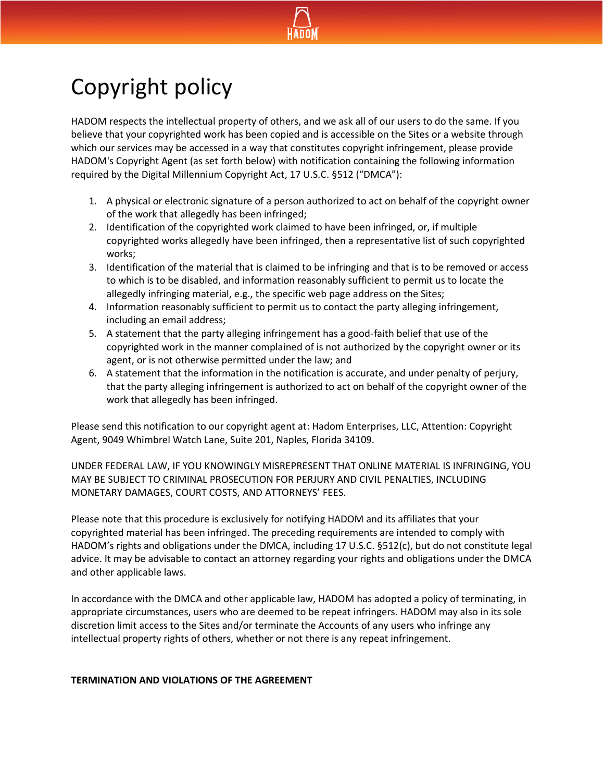

# Copyright policy

HADOM respects the intellectual property of others, and we ask all of our users to do the same. If you believe that your copyrighted work has been copied and is accessible on the Sites or a website through which our services may be accessed in a way that constitutes copyright infringement, please provide HADOM's Copyright Agent (as set forth below) with notification containing the following information required by the Digital Millennium Copyright Act, 17 U.S.C. §512 ("DMCA"):

- 1. A physical or electronic signature of a person authorized to act on behalf of the copyright owner of the work that allegedly has been infringed;
- 2. Identification of the copyrighted work claimed to have been infringed, or, if multiple copyrighted works allegedly have been infringed, then a representative list of such copyrighted works;
- 3. Identification of the material that is claimed to be infringing and that is to be removed or access to which is to be disabled, and information reasonably sufficient to permit us to locate the allegedly infringing material, e.g., the specific web page address on the Sites;
- 4. Information reasonably sufficient to permit us to contact the party alleging infringement, including an email address;
- 5. A statement that the party alleging infringement has a good-faith belief that use of the copyrighted work in the manner complained of is not authorized by the copyright owner or its agent, or is not otherwise permitted under the law; and
- 6. A statement that the information in the notification is accurate, and under penalty of perjury, that the party alleging infringement is authorized to act on behalf of the copyright owner of the work that allegedly has been infringed.

Please send this notification to our copyright agent at: Hadom Enterprises, LLC, Attention: Copyright Agent, 9049 Whimbrel Watch Lane, Suite 201, Naples, Florida 34109.

UNDER FEDERAL LAW, IF YOU KNOWINGLY MISREPRESENT THAT ONLINE MATERIAL IS INFRINGING, YOU MAY BE SUBJECT TO CRIMINAL PROSECUTION FOR PERJURY AND CIVIL PENALTIES, INCLUDING MONETARY DAMAGES, COURT COSTS, AND ATTORNEYS' FEES.

Please note that this procedure is exclusively for notifying HADOM and its affiliates that your copyrighted material has been infringed. The preceding requirements are intended to comply with HADOM's rights and obligations under the DMCA, including 17 U.S.C. §512(c), but do not constitute legal advice. It may be advisable to contact an attorney regarding your rights and obligations under the DMCA and other applicable laws.

In accordance with the DMCA and other applicable law, HADOM has adopted a policy of terminating, in appropriate circumstances, users who are deemed to be repeat infringers. HADOM may also in its sole discretion limit access to the Sites and/or terminate the Accounts of any users who infringe any intellectual property rights of others, whether or not there is any repeat infringement.

# **TERMINATION AND VIOLATIONS OF THE AGREEMENT**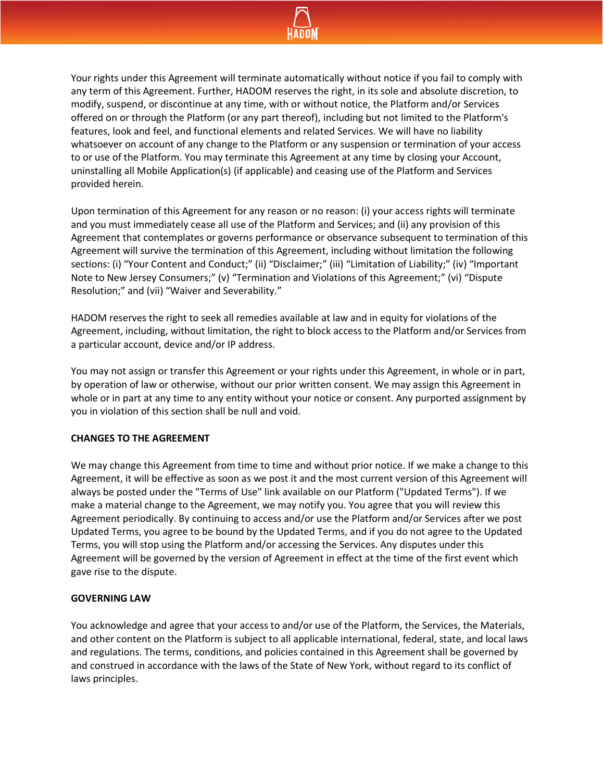

Your rights under this Agreement will terminate automatically without notice if you fail to comply with any term of this Agreement. Further, HADOM reserves the right, in its sole and absolute discretion, to modify, suspend, or discontinue at any time, with or without notice, the Platform and/or Services offered on or through the Platform (or any part thereof), including but not limited to the Platform's features, look and feel, and functional elements and related Services. We will have no liability whatsoever on account of any change to the Platform or any suspension or termination of your access to or use of the Platform. You may terminate this Agreement at any time by closing your Account, uninstalling all Mobile Application(s) (if applicable) and ceasing use of the Platform and Services provided herein.

Upon termination of this Agreement for any reason or no reason: (i) your access rights will terminate and you must immediately cease all use of the Platform and Services; and (ii) any provision of this Agreement that contemplates or governs performance or observance subsequent to termination of this Agreement will survive the termination of this Agreement, including without limitation the following sections: (i) "Your Content and Conduct;" (ii) "Disclaimer;" (iii) "Limitation of Liability;" (iv) "Important Note to New Jersey Consumers;" (v) "Termination and Violations of this Agreement;" (vi) "Dispute Resolution;" and (vii) "Waiver and Severability."

HADOM reserves the right to seek all remedies available at law and in equity for violations of the Agreement, including, without limitation, the right to block access to the Platform and/or Services from a particular account, device and/or IP address.

You may not assign or transfer this Agreement or your rights under this Agreement, in whole or in part, by operation of law or otherwise, without our prior written consent. We may assign this Agreement in whole or in part at any time to any entity without your notice or consent. Any purported assignment by you in violation of this section shall be null and void.

## **CHANGES TO THE AGREEMENT**

We may change this Agreement from time to time and without prior notice. If we make a change to this Agreement, it will be effective as soon as we post it and the most current version of this Agreement will always be posted under the "Terms of Use" link available on our Platform ("Updated Terms"). If we make a material change to the Agreement, we may notify you. You agree that you will review this Agreement periodically. By continuing to access and/or use the Platform and/or Services after we post Updated Terms, you agree to be bound by the Updated Terms, and if you do not agree to the Updated Terms, you will stop using the Platform and/or accessing the Services. Any disputes under this Agreement will be governed by the version of Agreement in effect at the time of the first event which gave rise to the dispute.

#### **GOVERNING LAW**

You acknowledge and agree that your access to and/or use of the Platform, the Services, the Materials, and other content on the Platform is subject to all applicable international, federal, state, and local laws and regulations. The terms, conditions, and policies contained in this Agreement shall be governed by and construed in accordance with the laws of the State of New York, without regard to its conflict of laws principles.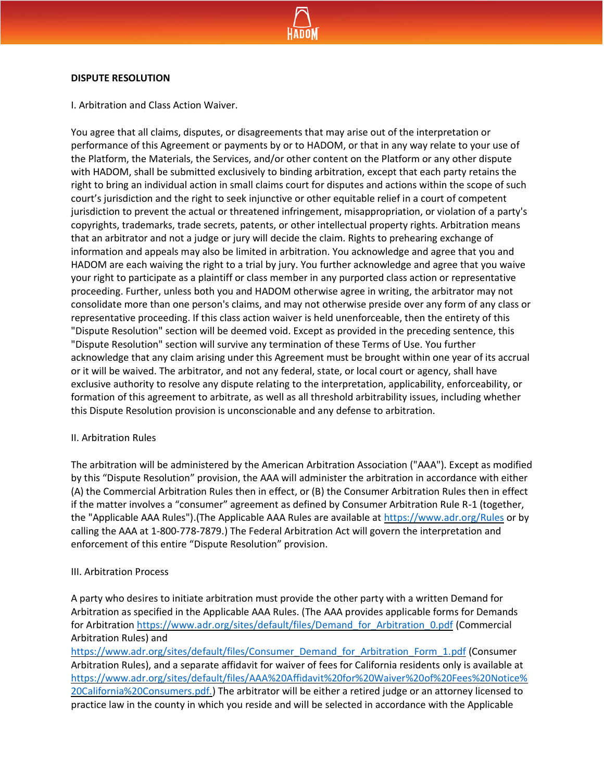

#### **DISPUTE RESOLUTION**

I. Arbitration and Class Action Waiver.

You agree that all claims, disputes, or disagreements that may arise out of the interpretation or performance of this Agreement or payments by or to HADOM, or that in any way relate to your use of the Platform, the Materials, the Services, and/or other content on the Platform or any other dispute with HADOM, shall be submitted exclusively to binding arbitration, except that each party retains the right to bring an individual action in small claims court for disputes and actions within the scope of such court's jurisdiction and the right to seek injunctive or other equitable relief in a court of competent jurisdiction to prevent the actual or threatened infringement, misappropriation, or violation of a party's copyrights, trademarks, trade secrets, patents, or other intellectual property rights. Arbitration means that an arbitrator and not a judge or jury will decide the claim. Rights to prehearing exchange of information and appeals may also be limited in arbitration. You acknowledge and agree that you and HADOM are each waiving the right to a trial by jury. You further acknowledge and agree that you waive your right to participate as a plaintiff or class member in any purported class action or representative proceeding. Further, unless both you and HADOM otherwise agree in writing, the arbitrator may not consolidate more than one person's claims, and may not otherwise preside over any form of any class or representative proceeding. If this class action waiver is held unenforceable, then the entirety of this "Dispute Resolution" section will be deemed void. Except as provided in the preceding sentence, this "Dispute Resolution" section will survive any termination of these Terms of Use. You further acknowledge that any claim arising under this Agreement must be brought within one year of its accrual or it will be waived. The arbitrator, and not any federal, state, or local court or agency, shall have exclusive authority to resolve any dispute relating to the interpretation, applicability, enforceability, or formation of this agreement to arbitrate, as well as all threshold arbitrability issues, including whether this Dispute Resolution provision is unconscionable and any defense to arbitration.

## II. Arbitration Rules

The arbitration will be administered by the American Arbitration Association ("AAA"). Except as modified by this "Dispute Resolution" provision, the AAA will administer the arbitration in accordance with either (A) the Commercial Arbitration Rules then in effect, or (B) the Consumer Arbitration Rules then in effect if the matter involves a "consumer" agreement as defined by Consumer Arbitration Rule R-1 (together, the "Applicable AAA Rules").(The Applicable AAA Rules are available at<https://www.adr.org/Rules> or by calling the AAA at 1-800-778-7879.) The Federal Arbitration Act will govern the interpretation and enforcement of this entire "Dispute Resolution" provision.

## III. Arbitration Process

A party who desires to initiate arbitration must provide the other party with a written Demand for Arbitration as specified in the Applicable AAA Rules. (The AAA provides applicable forms for Demands for Arbitration [https://www.adr.org/sites/default/files/Demand\\_for\\_Arbitration\\_0.pdf](https://www.adr.org/sites/default/files/Demand_for_Arbitration_0.pdf) (Commercial Arbitration Rules) and

[https://www.adr.org/sites/default/files/Consumer\\_Demand\\_for\\_Arbitration\\_Form\\_1.pdf](https://www.adr.org/sites/default/files/Consumer_Demand_for_Arbitration_Form_1.pdf) (Consumer Arbitration Rules), and a separate affidavit for waiver of fees for California residents only is available at [https://www.adr.org/sites/default/files/AAA%20Affidavit%20for%20Waiver%20of%20Fees%20Notice%](https://www.adr.org/sites/default/files/AAA%20Affidavit%20for%20Waiver%20of%20Fees%20Notice%20California%20Consumers.pdf.) [20California%20Consumers.pdf.\)](https://www.adr.org/sites/default/files/AAA%20Affidavit%20for%20Waiver%20of%20Fees%20Notice%20California%20Consumers.pdf.) The arbitrator will be either a retired judge or an attorney licensed to practice law in the county in which you reside and will be selected in accordance with the Applicable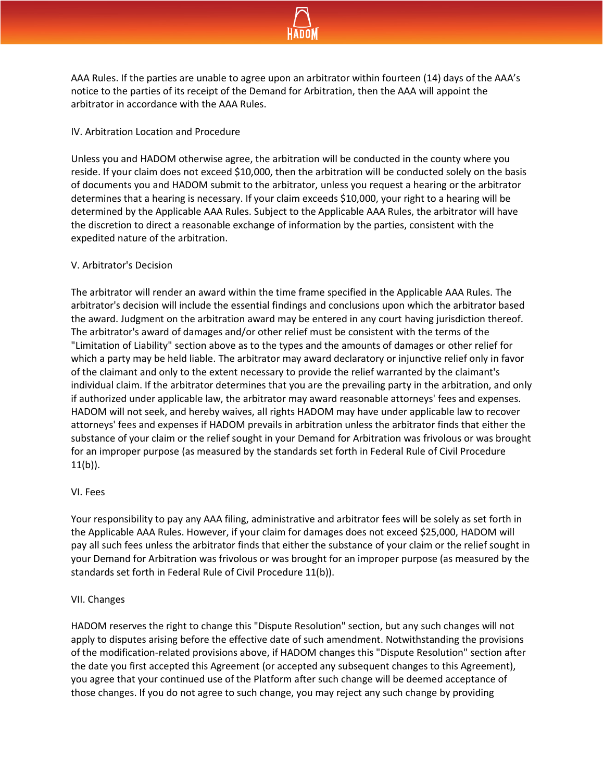

AAA Rules. If the parties are unable to agree upon an arbitrator within fourteen (14) days of the AAA's notice to the parties of its receipt of the Demand for Arbitration, then the AAA will appoint the arbitrator in accordance with the AAA Rules.

## IV. Arbitration Location and Procedure

Unless you and HADOM otherwise agree, the arbitration will be conducted in the county where you reside. If your claim does not exceed \$10,000, then the arbitration will be conducted solely on the basis of documents you and HADOM submit to the arbitrator, unless you request a hearing or the arbitrator determines that a hearing is necessary. If your claim exceeds \$10,000, your right to a hearing will be determined by the Applicable AAA Rules. Subject to the Applicable AAA Rules, the arbitrator will have the discretion to direct a reasonable exchange of information by the parties, consistent with the expedited nature of the arbitration.

## V. Arbitrator's Decision

The arbitrator will render an award within the time frame specified in the Applicable AAA Rules. The arbitrator's decision will include the essential findings and conclusions upon which the arbitrator based the award. Judgment on the arbitration award may be entered in any court having jurisdiction thereof. The arbitrator's award of damages and/or other relief must be consistent with the terms of the "Limitation of Liability" section above as to the types and the amounts of damages or other relief for which a party may be held liable. The arbitrator may award declaratory or injunctive relief only in favor of the claimant and only to the extent necessary to provide the relief warranted by the claimant's individual claim. If the arbitrator determines that you are the prevailing party in the arbitration, and only if authorized under applicable law, the arbitrator may award reasonable attorneys' fees and expenses. HADOM will not seek, and hereby waives, all rights HADOM may have under applicable law to recover attorneys' fees and expenses if HADOM prevails in arbitration unless the arbitrator finds that either the substance of your claim or the relief sought in your Demand for Arbitration was frivolous or was brought for an improper purpose (as measured by the standards set forth in Federal Rule of Civil Procedure  $11(b)$ ).

# VI. Fees

Your responsibility to pay any AAA filing, administrative and arbitrator fees will be solely as set forth in the Applicable AAA Rules. However, if your claim for damages does not exceed \$25,000, HADOM will pay all such fees unless the arbitrator finds that either the substance of your claim or the relief sought in your Demand for Arbitration was frivolous or was brought for an improper purpose (as measured by the standards set forth in Federal Rule of Civil Procedure 11(b)).

## VII. Changes

HADOM reserves the right to change this "Dispute Resolution" section, but any such changes will not apply to disputes arising before the effective date of such amendment. Notwithstanding the provisions of the modification-related provisions above, if HADOM changes this "Dispute Resolution" section after the date you first accepted this Agreement (or accepted any subsequent changes to this Agreement), you agree that your continued use of the Platform after such change will be deemed acceptance of those changes. If you do not agree to such change, you may reject any such change by providing